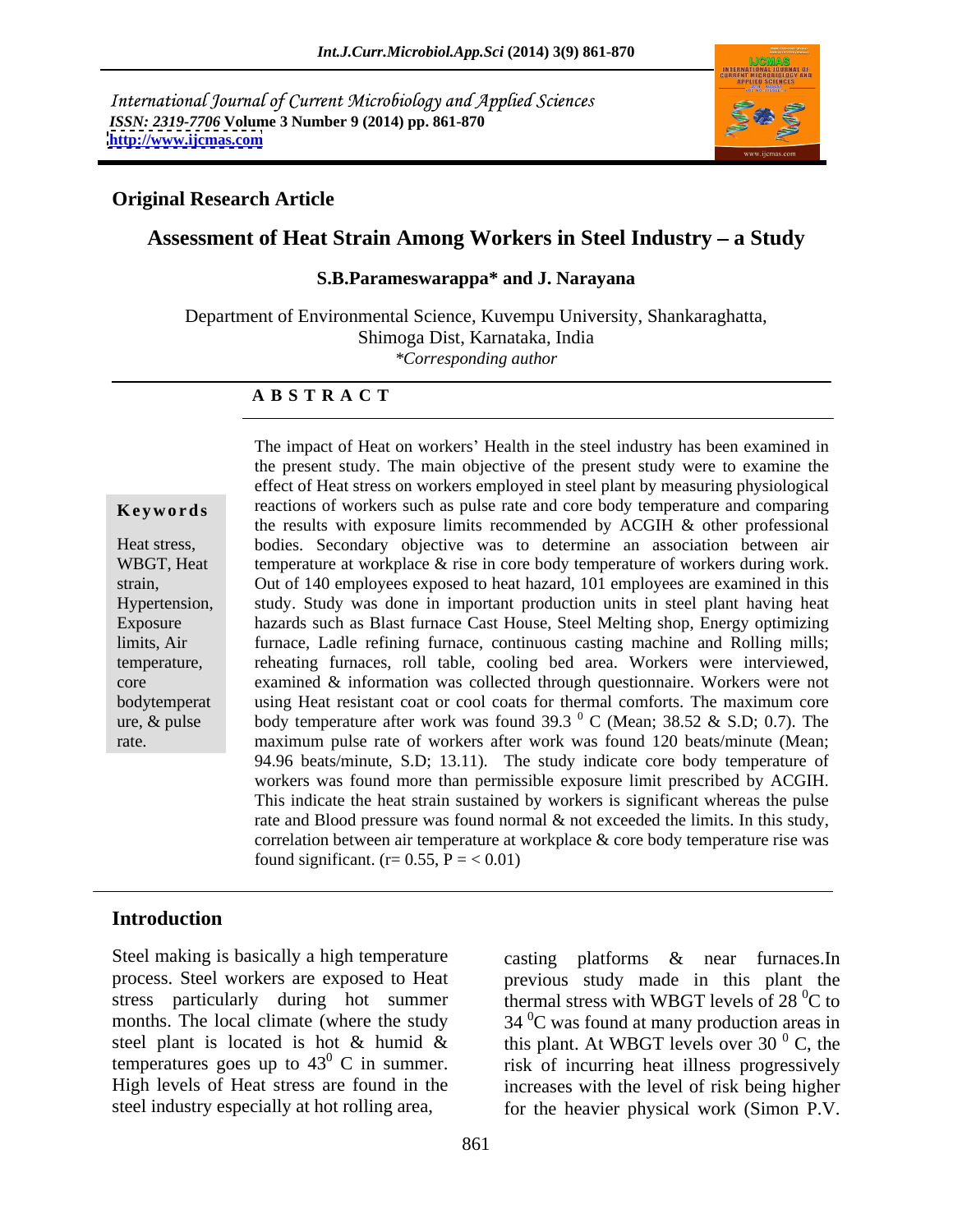International Journal of Current Microbiology and Applied Sciences *ISSN: 2319-7706* **Volume 3 Number 9 (2014) pp. 861-870 <http://www.ijcmas.com>**



### **Original Research Article**

# Assessment of Heat Strain Among Workers in Steel Industry - a Study

#### **S.B.Parameswarappa\* and J. Narayana**

Department of Environmental Science, Kuvempu University, Shankaraghatta, Shimoga Dist, Karnataka, India *\*Corresponding author* 

#### **A B S T R A C T**

**Keywords** reactions of workers such as pulse rate and core body temperature and comparing Heat stress, bodies. Secondary objective was to determine an association between air WBGT, Heat temperature at workplace  $\&$  rise in core body temperature of workers during work. strain, Out of 140 employees exposed to heat hazard, 101 employees are examined in this Hypertension, study. Study was done in important production units in steel plant having heat Exposure hazards such as Blast furnace Cast House, Steel Melting shop, Energy optimizing limits, Air furnace, Ladle refining furnace, continuous casting machine and Rolling mills; temperature, reheating furnaces, roll table, cooling bed area. Workers were interviewed, core examined & information was collected through questionnaire. Workers were not bodytemperat using Heat resistant coat or cool coats for thermal comforts. The maximum core ure, & pulse body temperature after work was found 39.3  $\degree$  C (Mean; 38.52 & S.D; 0.7). The rate. maximum pulse rate of workers after work was found 120 beats/minute (Mean; The impact of Heat on workers' Health in the steel industry has been examined in the present study. The main objective of the present study were to examine the effect of Heat stress on workers employed in steel plant by measuring physiological the results with exposure limits recommended by ACGIH & other professional  $^{0}$  C (Mean; 38.52 & S.D; 0.7). The 94.96 beats/minute, S.D; 13.11). The study indicate core body temperature of workers was found more than permissible exposure limit prescribed by ACGIH. This indicate the heat strain sustained by workers is significant whereas the pulse rate and Blood pressure was found normal & not exceeded the limits. In this study, correlation between air temperature at workplace & core body temperature rise was found significant. ( $r= 0.55$ ,  $P =  $0.01$ )$ 

#### **Introduction**

Steel making is basically a high temperature casting platforms & near furnaces.In

process. Steel workers are exposed to Heat previous study made in this plant the stress particularly during hot summer thermal stress with WBGT levels of  $28\text{ °C}$  to months. The local climate (where the study  $34<sup>0</sup>C$  was found at many production areas in steel plant is located is hot & humid & this plant. At WBGT levels over 30  $\mathrm{^{0}}$  C, the temperatures goes up to  $43^{\circ}$  C in summer. risk of incurring heat illness progressively High levels of Heat stress are found in the increases with the level of risk being higher steel industry especially at hot rolling area, for the heavier physical work (Simon P.V.  $\rm^0$  C, the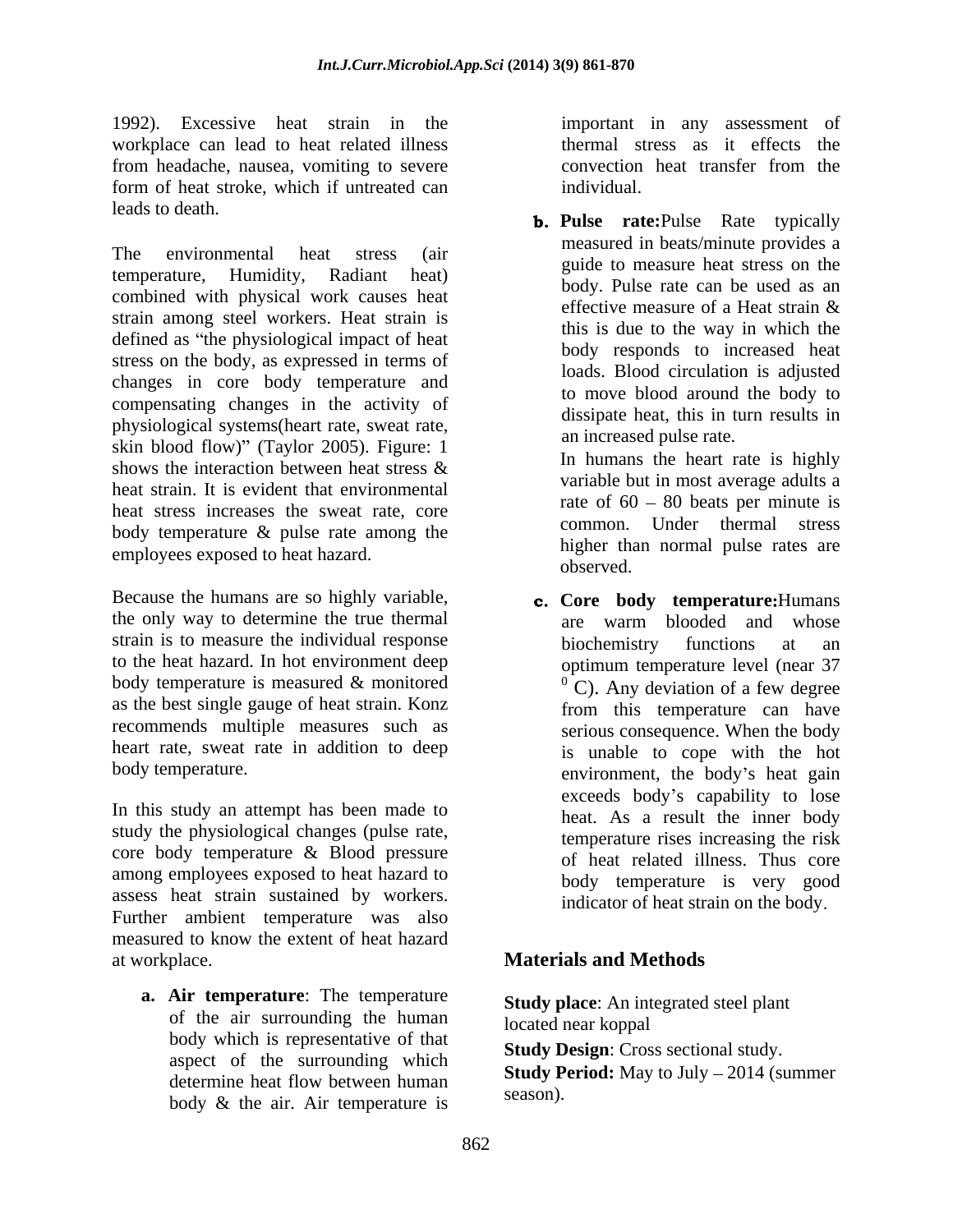1992). Excessive heat strain in the workplace can lead to heat related illness from headache, nausea, vomiting to severe form of heat stroke, which if untreated can individual. leads to death.

The environmental heat stress (air and measure heat stress and the measure heat stress on the temperature, Humidity, Radiant heat) combined with physical work causes heat  $\frac{1}{2}$  effective measure of a Heat strain  $\&$ strain among steel workers. Heat strain is defined as "the physiological impact of heat stress on the body, as expressed in terms of changes in core body temperature and compensating changes in the activity of physiological systems(heart rate, sweat rate, skin blood flow)" (Taylor 2005). Figure:  $1$ shows the interaction between heat stress  $\&$ heat strain. It is evident that environmental heat stress increases the sweat rate, core body temperature & pulse rate among the employees exposed to heat hazard. The magnetic matches observed.

Because the humans are so highly variable, the only way to determine the true thermal are warm blooded and whose strain is to measure the individual response<br>biochemistry functions at an to the heat hazard. In hot environment deep optimum temperature level (near 37 body temperature is measured & monitored  ${}^{0}$  C). Any deviation of a few degree as the best single gauge of heat strain. Konz from this temperature can have recommends multiple measures such as heart rate, sweat rate in addition to deep

In this study an attempt has been made to study the physiological changes(pulse rate, core body temperature & Blood pressure among employees exposed to heat hazard to assess heat strain sustained by workers. Further ambient temperature was also measured to know the extent of heat hazard at workplace. **Materials and Methods**

**a. Air temperature**: The temperature of the air surrounding the human body which is representative of that aspect of the surrounding which body  $\&$  the air. Air temperature is  $\qquad \qquad$ <sup>5545011</sup>.

important in any assessment of thermal stress as it effects the convection heat transfer from the individual.

**Pulse rate:**Pulse Rate typically measured in beats/minute provides a guide to measure heat stress on the body. Pulse rate can be used as an effective measure of a Heat strain & this is due to the way in which the body responds to increased heat loads. Blood circulation is adjusted to move blood around the body to dissipate heat, this in turn results in an increased pulse rate.

In humans the heart rate is highly variable but in most average adults a rate of  $60 - 80$  beats per minute is common. Under thermal stress higher than normal pulse rates are observed.

body temperature. The environment, the body's heat gain **c.** Core **body temperature**: Humans are warm blooded and whose biochemistry functions at an optimum temperature level (near 37  $^{0}$  C). Any deviation of a few degree from this temperature can have serious consequence. When the body is unable to cope with the hot exceeds body's capability to lose heat. As a result the inner body temperature rises increasing the risk of heat related illness. Thus core body temperature is very good indicator of heat strain on the body

**Study place**: An integrated steel plant located near koppal

**Study Design**: Cross sectional study.

determine heat flow between human **Survey Ferrou.** May to Jury  $-2014$  (summer **Study Period:** May to July – 2014 (summer season).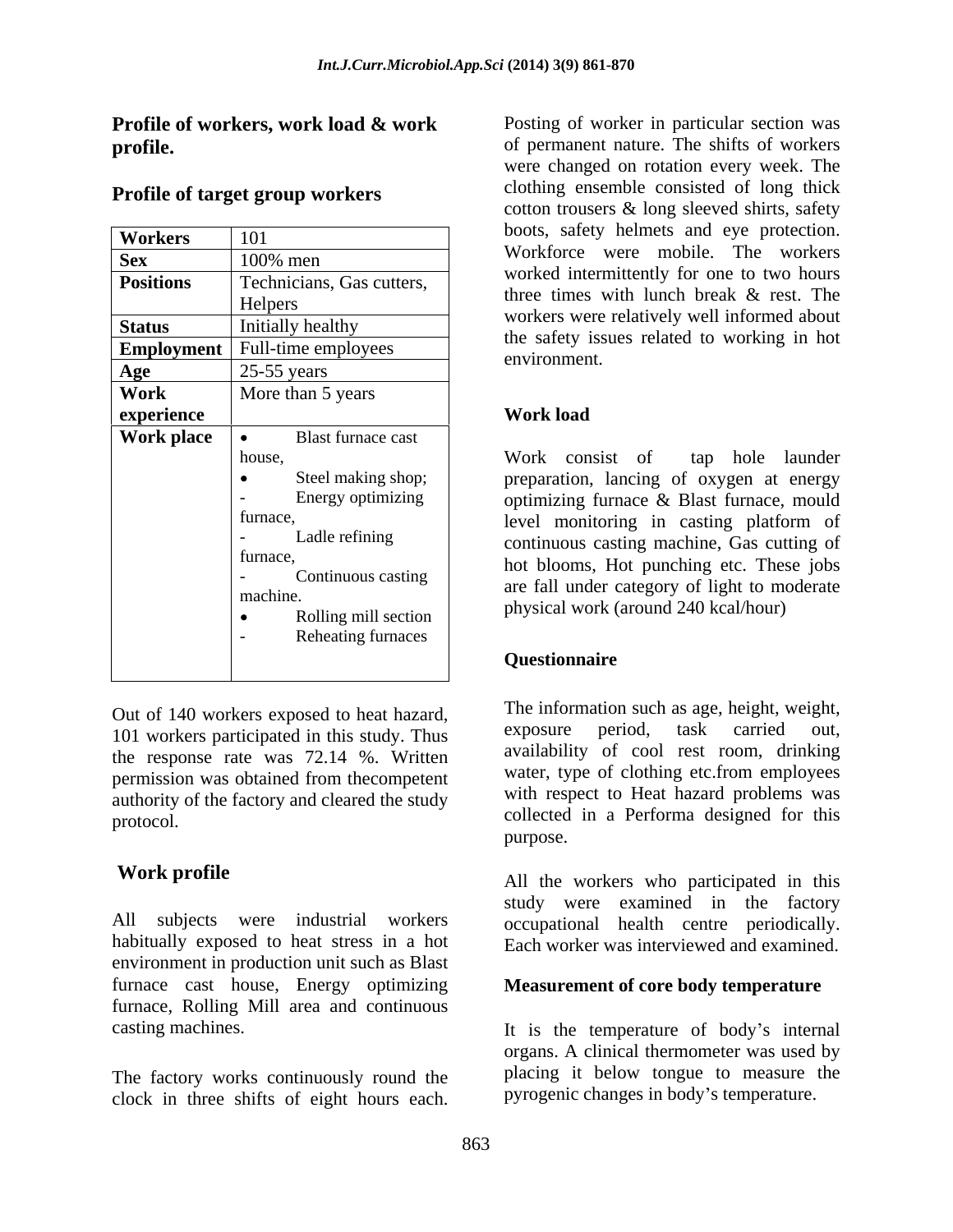| Workers          | 101                                                                                                                                                                         | boots, salety hennets and eye protection.                                                                                                                                                                                                                                                                                                                    |
|------------------|-----------------------------------------------------------------------------------------------------------------------------------------------------------------------------|--------------------------------------------------------------------------------------------------------------------------------------------------------------------------------------------------------------------------------------------------------------------------------------------------------------------------------------------------------------|
| <b>Sex</b>       | 100% men                                                                                                                                                                    | Workforce were mobile. The workers                                                                                                                                                                                                                                                                                                                           |
| <b>Positions</b> | Technicians, Gas cutters,                                                                                                                                                   | worked intermittently for one to two hours<br>three times with lunch break & rest. The                                                                                                                                                                                                                                                                       |
|                  | Helpers                                                                                                                                                                     |                                                                                                                                                                                                                                                                                                                                                              |
| <b>Status</b>    | Initially healthy                                                                                                                                                           | workers were relatively well informed about<br>the safety issues related to working in hot                                                                                                                                                                                                                                                                   |
| Employment       | Full-time employees                                                                                                                                                         | environment.                                                                                                                                                                                                                                                                                                                                                 |
| Age              | $25-55$ years                                                                                                                                                               |                                                                                                                                                                                                                                                                                                                                                              |
| Work             | More than 5 years                                                                                                                                                           |                                                                                                                                                                                                                                                                                                                                                              |
| experience       |                                                                                                                                                                             | <b>Work load</b>                                                                                                                                                                                                                                                                                                                                             |
| Work place       | Blast furnace cast                                                                                                                                                          |                                                                                                                                                                                                                                                                                                                                                              |
|                  | house,<br>Steel making shop;<br>Energy optimizing<br>furnace,<br>Ladle refining<br>furnace,<br>Continuous casting<br>machine.<br>Rolling mill section<br>Reheating furnaces | Work consist of<br>launder<br>tap hole<br>preparation, lancing of oxygen at energy<br>optimizing furnace & Blast furnace, mould<br>level monitoring in casting platform of<br>continuous casting machine, Gas cutting of<br>hot blooms, Hot punching etc. These jobs<br>are fall under category of light to moderate<br>physical work (around 240 kcal/hour) |
|                  |                                                                                                                                                                             | Questionnaire                                                                                                                                                                                                                                                                                                                                                |

### **Profile of target group workers**

Out of 140 workers exposed to heat hazard,<br>101 workers perticipated in this study. Thus exposure period, task carried out, 101 workers participated in this study. Thus the response rate was 72.14 %. Written permission was obtained from thecompetent authority of the factory and cleared the study

All subjects were industrial workers occupational health centre periodically. habitually exposed to heat stress in a hot Each worker was interviewed and examined. environment in production unit such as Blast furnace cast house, Energy optimizing furnace, Rolling Mill area and continuous

The factory works continuously round the clock in three shifts of eight hours each.

**Profile of workers, work load & work** Posting of worker in particular section was **profile.** of permanent nature. The shifts of workers Workers 101 and the same of the same workers and the protection.  $Sex$  100% men  $\begin{bmatrix} 100\% & m\end{bmatrix}$  working were mount. The workers three times with lunch break & rest. The Helpers and the times with function break  $\alpha$  rest. The workers were relatively well informed about Status Initially healthy **I** workers were relatively well informed about **Employment** Full-time employees and the safety issues related to working in not were changed on rotation every week. The clothing ensemble consisted of long thick cotton trousers & long sleeved shirts, safety boots, safety helmets and eye protection. Workforce were mobile. The workers worked intermittently for one to two hours three times with lunch break & rest. The the safety issues related to working in hot environment.

### **Work load**

Work consist of tap hole launder • Steel making shop; preparation, lancing of oxygen at energy Energy optimizing preparation, lancing of oxygen at energy furnace, level monitoring in casting platform of - Ladle refining continuous casting machine, Gas cutting of furnace,<br>
hot blooms, Hot punching etc. These jobs - Continuous casting are fall under category of light to moderate machine.<br>
physical work (around 240 kcal/hour) Rolling mill section Thuy buy sical work (around 240 KCannour) Work consist of tap hole launder optimizing furnace & Blast furnace, mould

### **Questionnaire**

protocol. collected in a Performa designed for this The information such as age, height, weight, exposure period, task carried out, availability of cool rest room, drinking water, type of clothing etc.from employees with respect to Heat hazard problems was purpose.

**Work profile** All the workers who participated in this study were examined in the factory occupational health centre periodically. Each worker was interviewed and examined.

### **Measurement of core body temperature**

casting machines. It is the temperature of body s internal organs. A clinical thermometer was used by placing it below tongue to measure the pyrogenic changes in body's temperature.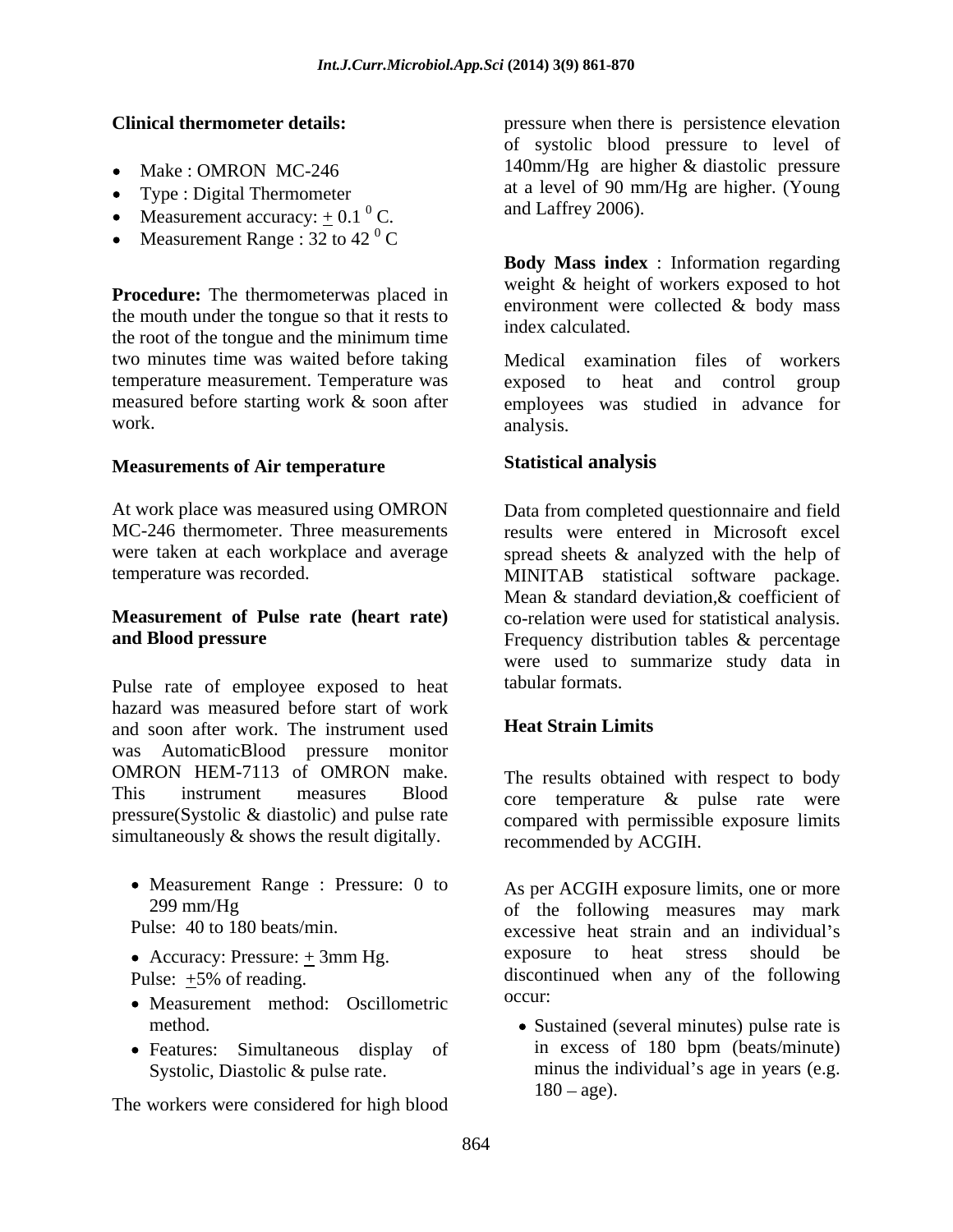- 
- Type : Digital Thermometer
- Measurement accuracy:  $+$  0.1<sup>0</sup> C.
- Measurement Range : 32 to 42  $^{\circ}$  C C<sub>c</sub> contract to the contract of the contract of the contract of the contract of the contract of the contract of the contract of the contract of the contract of the contract of the contract of the contract of the contract

**Procedure:** The thermometerwas placed in the mouth under the tongue so that it rests to the root of the tongue and the minimum time two minutes time was waited before taking

### **Measurements of Air temperature**

# **Measurement of Pulse rate (heart rate)**

Pulse rate of employee exposed to heat tabular formats. hazard was measured before start of work<br>and soon after work. The instrument used **Heat Strain Limits** and soon after work. The instrument used was AutomaticBlood pressure monitor OMRON HEM-7113 of OMRON make. This instrument measures Blood core temperature & pulse rate were pressure(Systolic & diastolic) and pulse rate simultaneously & shows the result digitally.

- Measurement Range : Pressure: 0 to As per ACGIH exposure limits, one or more
- 
- 
- Measurement method: Oscillometric <sup>occur:</sup>
- 

The workers were considered for high blood

**Clinical thermometer details:**  pressure when there is persistence elevation Make : OMRON MC-246 140mm/Hg are higher & diastolic pressure C. and Lattrey 2000). of systolic blood pressure to level of at a level of 90 mm/Hg are higher. (Young and Laffrey 2006).

> **Body Mass index** : Information regarding weight & height of workers exposed to hot environment were collected & body mass index calculated.

temperature measurement. Temperature was exposed to heat and control group measured before starting work & soon after employees was studied in advance for work. analysis. Medical examination files of workers analysis.

## **Statistical analysis**

At work place was measured using OMRON Data from completed questionnaire and field MC-246 thermometer. Three measurements results were entered in Microsoft excel were taken at each workplace and average spread sheets & analyzed with the help of temperature was recorded. MINITAB statistical software package. **and Blood pressure** Frequency distribution tables & percentage Mean & standard deviation,& coefficient of co-relation were used for statistical analysis. were used to summarize study data in tabular formats.

### **Heat Strain Limits**

The results obtained with respect to body compared with permissible exposure limits recommended by ACGIH.

299 mm/Hg of the following measures may mark Pulse: 40 to 180 beats/min. excessive heat strain and an individual's • Accuracy: Pressure:  $\pm 3$ mm Hg. exposure to heat stress should be Pulse:  $\pm 5\%$  of reading. exposure to heat stress should occur:

method. Sustained (several minutes) pulse rate is • Features: Simultaneous display of in excess of 180 bpm (beats/minute) Systolic, Diastolic & pulse rate. The minus the individual's age in years (e.g. in excess of 180 bpm (beats/minute)  $180 - age$ ).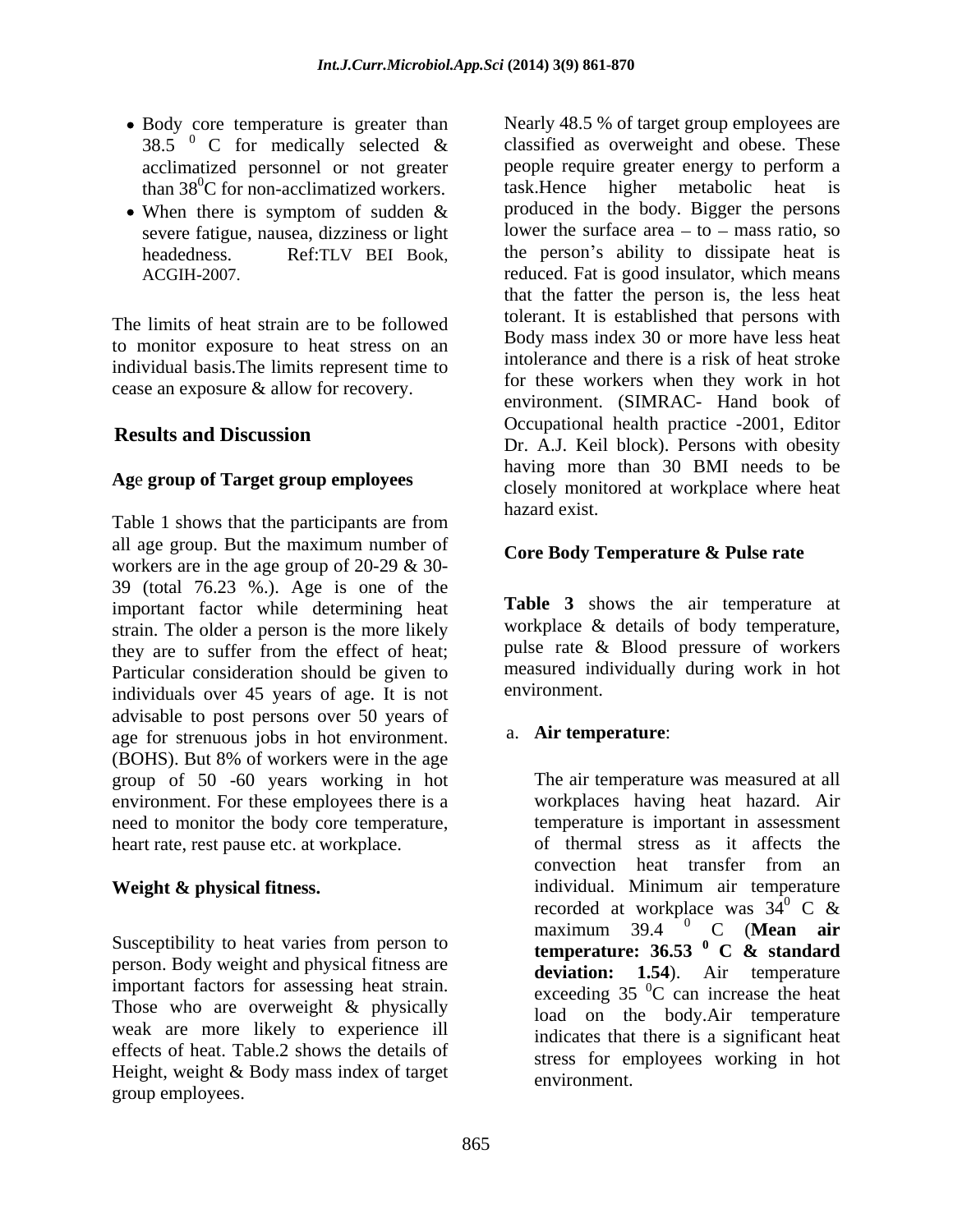- Body core temperature is greater than acclimatized personnel or not greater
- 

The limits of heat strain are to be followed to monitor exposure to heat stress on an individual basis.The limits represent time to cease an exposure & allow for recovery.

### **Ag**e **group of Target group employees**

Table 1 shows that the participants are from hazard exist. all age group. But the maximum number of workers are in the age group of 20-29 & 30- 39 (total 76.23 %.). Age is one of the important factor while determining heat strain. The older a person is the more likely they are to suffer from the effect of heat; Particular consideration should be given to measured incorrect incidents over 45 years of age. It is not environment. individuals over 45 years of age. It is not advisable to post persons over 50 years of age for strenuous jobs in hot environment. (BOHS). But 8% of workers were in the age group of 50 -60 years working in hot environment. For these employees there is a need to monitor the body core temperature, heart rate, rest pause etc. at workplace.

Susceptibility to heat varies from person to<br>temperature:  $36.53 \times 6.53 \times 6.53$ person. Body weight and physical fitness are important factors for assessing heat strain. Those who are overweight & physically weak are more likely to experience ill effects of heat. Table.2 shows the details of Height, weight & Body mass index of target group employees.

38.5  $\degree$  C for medically selected & classified as overweight and obese. These than  $38^{\circ}$ C for non-acclimatized workers. task. Hence higher metabolic heat is When there is symptom of sudden  $\&$  produced in the body. Bigger the persons severe fatigue, nausea, dizziness or light lower the surface area  $-$  to  $-$  mass ratio, so headedness. Ref:TLV BEI Book, the person's ability to dissipate heat is ACGIH-2007. reduced. Fat is good insulator, which means **Results and Discussion**<br>Dr. A. L. Koil block). Persons with obesity Nearly 48.5 % of target group employees are classified as overweight and obese. These people require greater energy to perform a produced in the body. Bigger the persons the person's ability to dissipate heat is that the fatter the person is, the less heat tolerant. It is established that persons with Body mass index 30 or more have less heat intolerance and there is a risk of heat stroke for these workers when they work in hot environment. (SIMRAC- Hand book of Occupational health practice -2001, Editor Dr. A.J. Keil block). Persons with obesity having more than 30 BMI needs to be closely monitored at workplace where heat hazard exist.

### **Core Body Temperature & Pulse rate**

**Table 3** shows the air temperature at workplace & details of body temperature, pulse rate & Blood pressure of workers measured individually during work in hot environment.

### a. **Air temperature**:

**Weight & physical fitness.** individual. Minimum air temperature The air temperature was measured at all workplaces having heat hazard. Air temperature is important in assessment of thermal stress as it affects the convection heat transfer from an recorded at workplace was  $34^{\circ}$  C &  $\rm ^{0}$  C & maximum  $39.4$  <sup>0</sup> C (**Mean air** maximum 39.4 <sup>0</sup> C (**Mean air**<br>temperature: 36.53 <sup>0</sup> C & standard **<sup>0</sup> C & standard deviation: 1.54**). Air temperature exceeding  $35\text{ °C}$  can increase the heat  ${}^{0}C$  can increase the heat load on the body.Air temperature indicates that there is a significant heat stress for employees working in hot environment.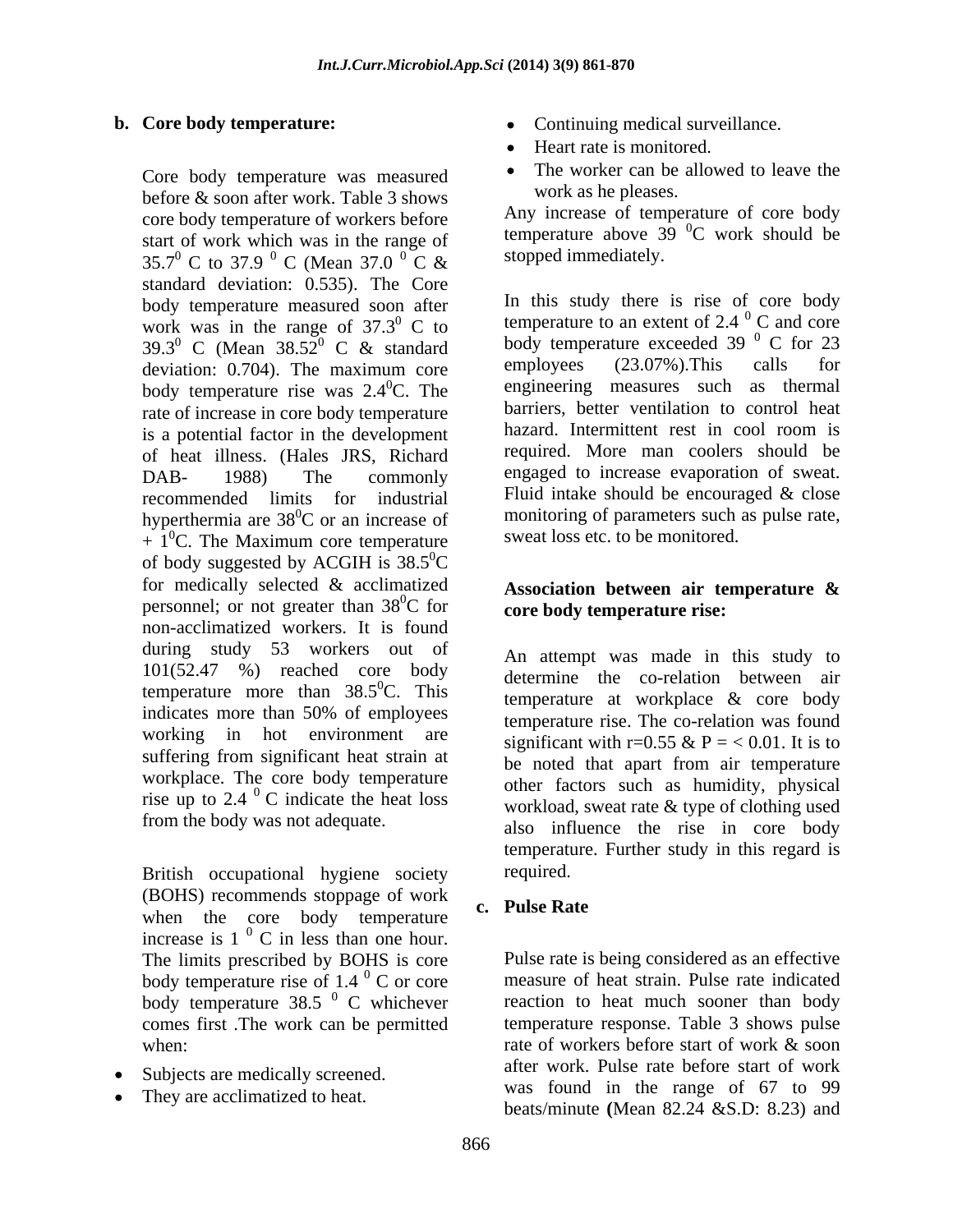Core body temperature was measured before & soon after work. Table 3 shows core body temperature of workers before start of work which was in the range of 35.7<sup>0</sup> C to 37.9<sup>0</sup> C (Mean 37.0<sup>0</sup> C & standard deviation: 0.535). The Core body temperature measured soon after work was in the range of  $37.3^{\circ}$  C to body temperature rise was  $2.4^{\circ}$ C. The rate of increase in core body temperature is a potential factor in the development of heat illness. (Hales JRS, Richard recommended limits for industrial hyperthermia are  $38^{\circ}$ C or an increase of  $+ 1<sup>0</sup>C$ . The Maximum core temperature  ${}^{0}C$ . The Maximum core temperature sweat loss etc. to be monitored. of body suggested by ACGIH is  $38.5^{\circ}$ C<br>for medically selected & acclimatized  $\rm ^{0}C$ personnel; or not greater than  $38^{\circ}$ C for non-acclimatized workers. It is found during study 53 workers out of 101(52.47 %) reached core body temperature more than  $38.5^{\circ}$ C. This working in hot environment are workplace. The core body temperature rise up to 2.4  $\mathrm{^{0}}$  C indicate the heat loss

British occupational hygiene society required. (BOHS) recommends stoppage of work<br> **c.** Pulse Rate when the core body temperature increase is  $1<sup>0</sup>$  C in less than one hour.<br>The limits prescribed by BOHS is core  $0 \text{ C}$  in less than one hour. body temperature rise of 1.4  $\mathrm{^{0}}$  C or core<br>body temperature 38.5  $\mathrm{^{0}}$  C whichever

- Subjects are medically screened.
- They are acclimatized to heat.
- **b.** Core body temperature:  $\bullet$  Continuing medical surveillance.
	- Heart rate is monitored.
	- The worker can be allowed to leave the work as he pleases.

 $^{0}$  C (Mean 37.0  $^{0}$  C & stopped immediately.  $\sigma^0$  C & stopped immediately. Any increase of temperature of core body temperature above  $39\text{ °C}$  work should be  ${}^{0}C$  work should be stopped immediately.

 $^{0}$  C to temperature to an extent of 2.4  $^{0}$  C and core 39.3<sup>0</sup> C (Mean 38.5 $\frac{5}{2}$ <sup>0</sup> C & standard body temperature exceeded 39 <sup>o</sup> C for 23 deviation: 0.704). The maximum core employees (23.07%). This calls for  $^{0}$  C & standard body temperature exceeded 39  $^{0}$  C for 23 deviation: 0.704). The maximum core employees (23.07%). This calls for  ${}^{0}C$ . The engineering measures such as thermal DAB- 1988) The commonly engaged to increase evaporation of sweat.  ${}^{0}C$  or an increase of monitoring of parameters such as pulse rate, In this study there is rise of core body  $^{0}$  C and core body temperature exceeded 39 $^{0}$  C for 23  $0$  C for 23 employees (23.07%).This calls for barriers, better ventilation to control heat hazard. Intermittent rest in cool room is required. More man coolers should be Fluid intake should be encouraged & close sweat loss etc. to be monitored.

#### Association between air temperature  $\&$  ${}^{0}C$  for core body temperature rise: **Association between air temperature & core body temperature rise:**

 ${}^{0}C$ . This determine the co-relation between an indicates more than 50% of employees<br>temperature rise. The co-relation was found suffering from significant heat strain at be noted that apart from air temperature  $^{0}$  C indicate the heat loss workload sweat rate  $\&$  type of clothing used from the body was not adequate.<br>also influence the rise in core body An attempt was made in this study to determine the co-relation between air temperature rise. The co-relation was found significant with r=0.55 & P = < 0.01. It is to be noted that apart from air temperature other factors such as humidity, physical workload, sweat rate & type of clothing used temperature. Further study in this regard is required.

### **c. Pulse Rate**

The limits prescribed by BOHS is core Pulse rate is being considered as an effective  $\sigma$ <sup>0</sup> C or core measure of heat strain. Pulse rate indicated body temperature 38.5  $\degree$  C whichever reaction to heat much sooner than body comes first .The work can be permitted temperature response. Table 3 shows pulse when:  $\theta$  are of workers before start of work & soon rate of workers before start of work & soon after work. Pulse rate before start of work was found in the range of 67 to 99 beats/minute **(**Mean 82.24 &S.D: 8.23) and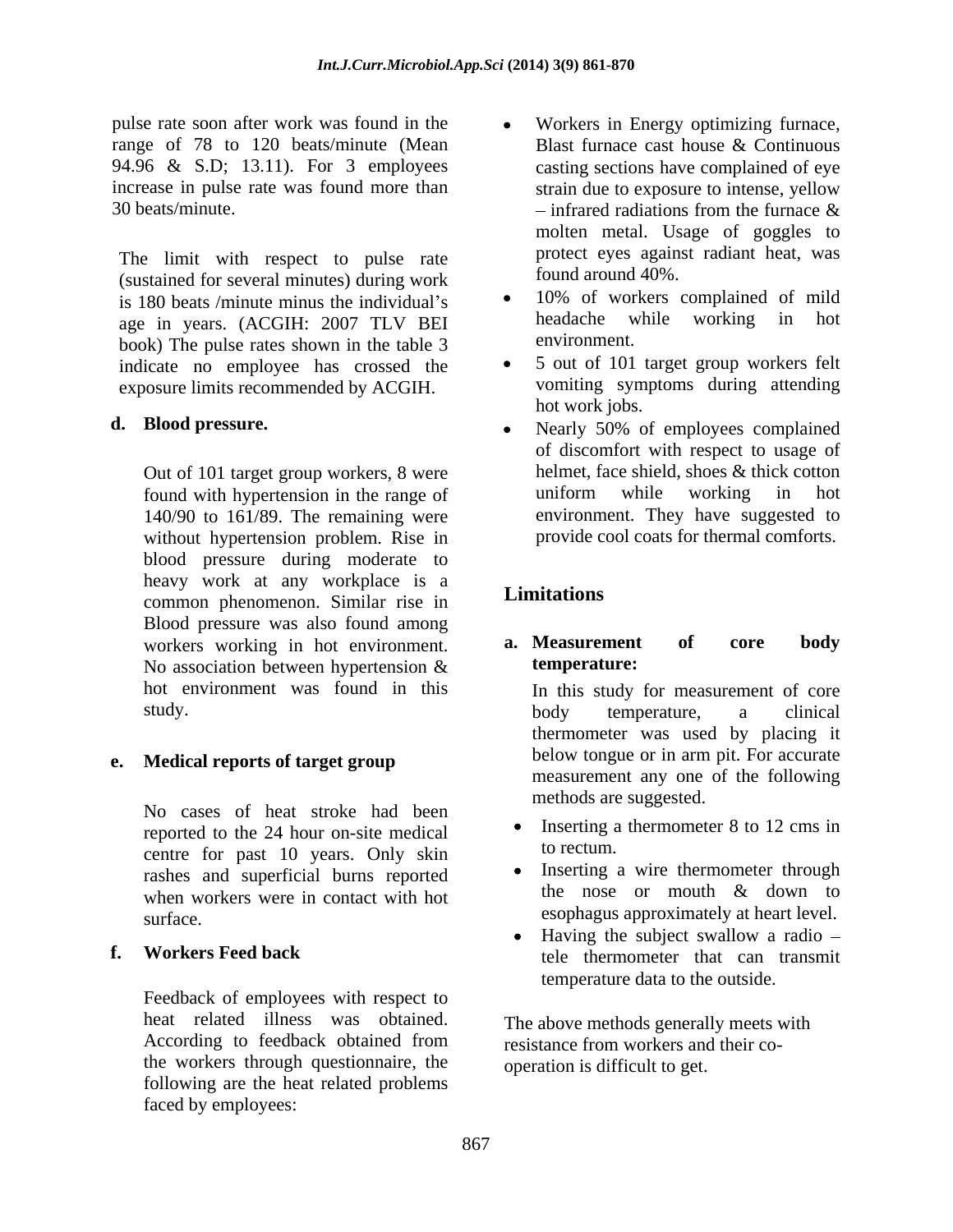pulse rate soon after work was found in the range of 78 to 120 beats/minute (Mean increase in pulse rate was found more than strain due to exposure to intense, yellow 30 beats/minute.  $\blacksquare$   $\blacksquare$   $\blacksquare$   $\blacksquare$   $\blacksquare$   $\blacksquare$   $\blacksquare$   $\blacksquare$   $\blacksquare$   $\blacksquare$   $\blacksquare$   $\blacksquare$   $\blacksquare$   $\blacksquare$   $\blacksquare$   $\blacksquare$   $\blacksquare$   $\blacksquare$   $\blacksquare$   $\blacksquare$   $\blacksquare$   $\blacksquare$   $\blacksquare$   $\blacksquare$   $\blacksquare$   $\blacksquare$   $\blacksquare$   $\blacksquare$   $\blacksquare$ 

The limit with respect to pulse rate (sustained for several minutes) during work age in years. (ACGIH: 2007 TLV BEI headache v<br>hook) The pulse rates shown in the table 3 environment. book) The pulse rates shown in the table 3 indicate no employee has crossed the exposure limits recommended by ACGIH.

Out of 101 target group workers, 8 were 140/90 to 161/89. The remaining were without hypertension problem. Rise in blood pressure during moderate to heavy work at any workplace is a<br>
Limitations common phenomenon. Similar rise in Blood pressure was also found among<br>workers working in hot environment **a. Measurement** of No association between hypertension  $\&$  temperature: study. body temperature, a clinical

No cases of heat stroke had been reported to the 24 hour on-site medical **Containers** to rectum. centre for past 10 years. Only skin when workers were in contact with hot surface. esophagus approximately at heart level.

Feedback of employees with respect to heat related illness was obtained. According to feedback obtained from resistance from workers and their cothe workers through questionnaire, the following are the heat related problems faced by employees:

- 94.96 & S.D; 13.11). For 3 employees casting sections have complained of eye Workers in Energy optimizing furnace, Blast furnace cast house & Continuous strain due to exposure to intense, yellow infrared radiations from the furnace & molten metal. Usage of goggles to protect eyes against radiant heat, was found around 40%.
- is 180 beats /minute minus the individual's  $\bullet$  10% of workers complained of mild<br>age in years (ACGIH: 2007 TLV BEI beadache while working in hot 10% of workers complained of mild headache while working in hot environment.
	- 5 out of 101 target group workers felt vomiting symptoms during attending hot work jobs.
- **d. Blood pressure.** <br> **a Nearly** 50% of employees complained found with hypertension in the range of Nearly 50% of employees complained of discomfort with respect to usage of helmet, face shield, shoes & thick cotton uniform while working in hot environment. They have suggested to provide cool coats for thermal comforts.

# **Limitations**

#### workers working in hot environment. **a. Measurement of core body a. Measurement of core body temperature:**

hot environment was found in this In this study for measurement of core **e. Medical reports of target group** below tongue or in arm pit. For accurate body temperature, a clinical thermometer was used by placing it below tongue or in arm pit. For accurate measurement any one of the following methods are suggested.

- Inserting a thermometer 8 to 12 cms in to rectum.
- rashes and superficial burns reported <br>when we have burns in contact with her the nose or mouth & down to Inserting a wire thermometer through the nose or mouth & down to
- **f. Workers Feed back** tele thermometer that can transmit Having the subject swallow a radio – temperature data to the outside.

The above methods generally meets with resistance from workers and their co operation is difficult to get.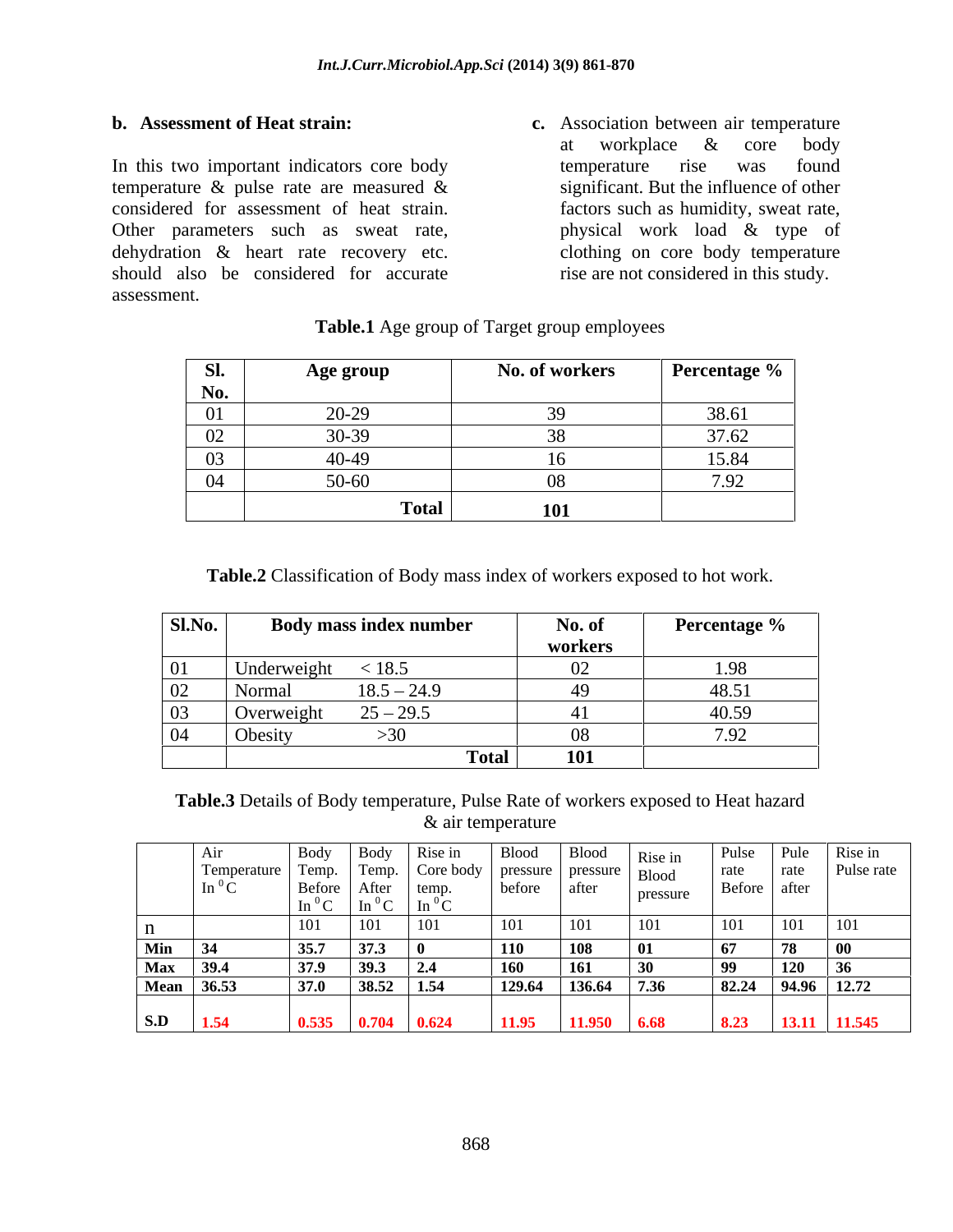In this two important indicators core body temperature rise was found temperature & pulse rate are measured & considered for assessment of heat strain. Other parameters such as sweat rate, by physical work load & type of dehydration & heart rate recovery etc. should also be considered for accurate assessment.

**b. Assessment of Heat strain: c.** Association between air temperature at workplace & core body temperature rise was found significant. But the influence of other factors such as humidity, sweat rate, physical work load & type of clothing on core body temperature rise are not considered in this study.

| Sl.                                                                      | Age grour            | No. of workers | Percentage <sup>o</sup> |
|--------------------------------------------------------------------------|----------------------|----------------|-------------------------|
| No.                                                                      |                      |                |                         |
| $\bigcap$ 1<br><u>vi</u><br>the control of the control of the control of | 20.20<br>ムパンプ        |                |                         |
| $\Omega$<br>the control of the control of the control of                 |                      |                | $27\epsilon$            |
| 03                                                                       |                      |                |                         |
| 04                                                                       | 50-60.               |                |                         |
|                                                                          | Total<br>$- - - - -$ | 101            |                         |

#### **Table.1** Age group of Target group employees

**Table.2** Classification of Body mass index of workers exposed to hot work.

| Sl.No. | <b>Example 18 Body mass index number</b> | No. of       | <b>Percentage</b> $\%$ |
|--------|------------------------------------------|--------------|------------------------|
|        |                                          | workers      |                        |
|        | < 18.5                                   |              |                        |
|        | - Norm <sup>2</sup>                      |              | 48.51                  |
|        | $25 - 29.5$                              |              | 40.59                  |
|        |                                          | 710          |                        |
|        |                                          | 101<br>Total |                        |

**Table.3** Details of Body temperature, Pulse Rate of workers exposed to Heat hazard & air temperature

|              | Air           | <b>Body</b> | Body  | Rise in               | <b>Blood</b> | <b>Blood</b>                           | Rise in                             | Pulse |              | Pule Rise in |
|--------------|---------------|-------------|-------|-----------------------|--------------|----------------------------------------|-------------------------------------|-------|--------------|--------------|
|              | Temperature   | Temp.       | Temp. | Core body             |              | $\gamma$   pressure   pressure   Blood |                                     | rate  | rate         | Pulse rate   |
|              | In ${}^{0}$ C | Before      | After | temp.                 | before       | after                                  | pressure                            |       | Before after |              |
|              |               | $\ln^{0}C$  |       | $\ln^{0}C$ $\ln^{0}C$ |              |                                        | the contract of the contract of the |       |              |              |
| $\mathbf{H}$ |               | 101         | 101   | 101                   | 101          | 101                                    | 101                                 | 101   | 101          | 101          |
| Min          | 34            | 35.7        | 37.3  |                       | <b>110</b>   | <b>108</b>                             | - 01                                | 67    |              |              |
| <b>Max</b>   | 39.4          | 37.9        | 39.3  | 2.4                   | <b>160</b>   | 161                                    | -30                                 | 99    | 120          |              |
|              | Mean 36.53    | 37.0        | 38.52 | 1.54                  | 129.64       | 136.64                                 | 7.36                                | 82.24 |              | 94.96 12.72  |
|              |               |             |       |                       |              |                                        |                                     |       |              |              |
| S.D          | 1.54          | 0.535       | 0.704 | 0.624                 | 11.95        | 11.950                                 | 6.68                                | 8.23  | 13.11        | 11.545       |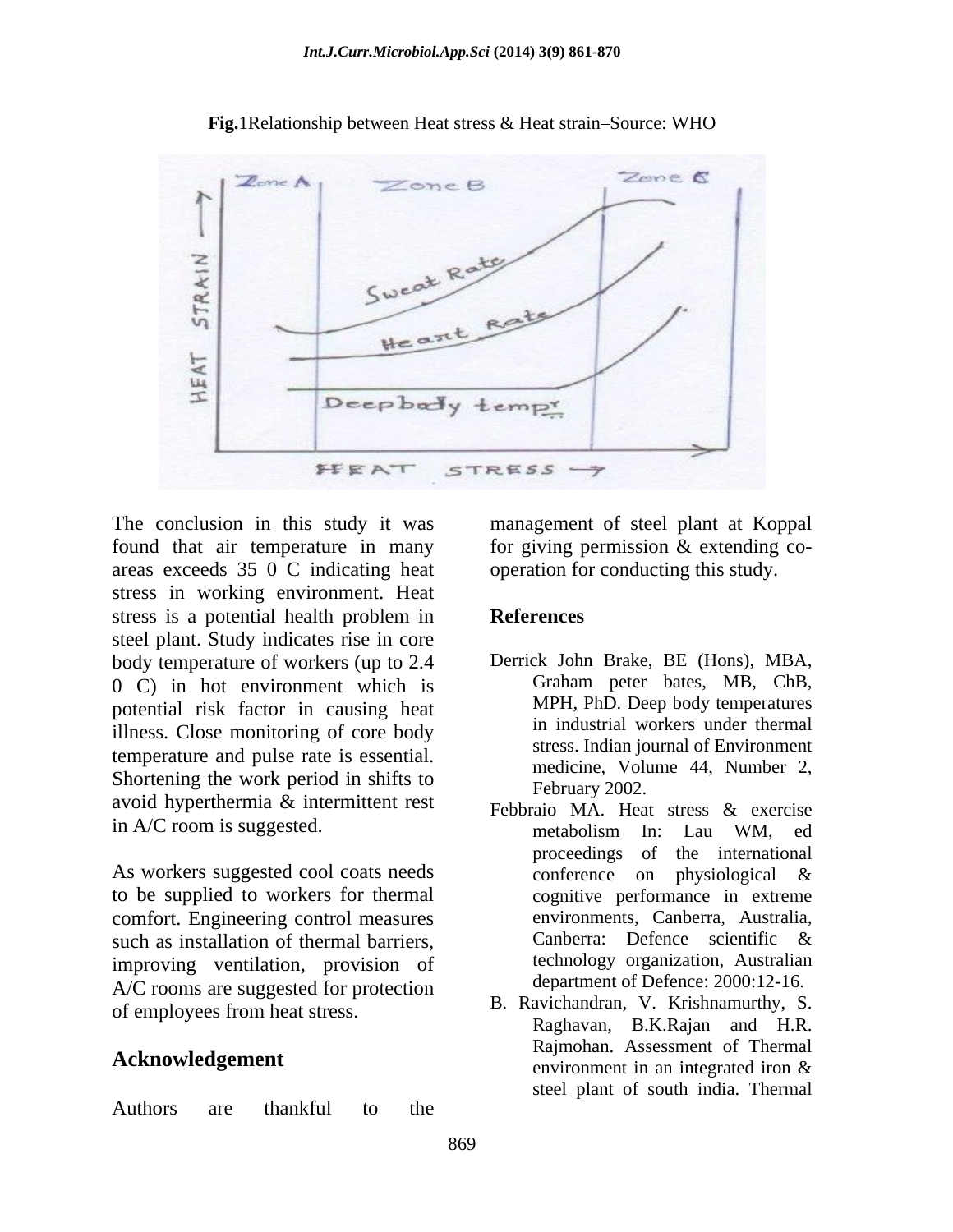

Fig.1Relationship between Heat stress & Heat strain-Source: WHO

The conclusion in this study it was management of steel plant at Koppal found that air temperature in many for giving permission & extending co areas exceeds 35 0 C indicating heat stress in working environment. Heat stress is a potential health problem in **References** steel plant. Study indicates rise in core body temperature of workers (up to 2.4 Derrick John Brake, BE (Hons), MBA, 0 C) in hot environment which is Graham peter bates, MB, ChB, 0 C) in hot environment which is potential risk factor in causing heat illness. Close monitoring of core body temperature and pulse rate is essential. Shortening the work period in shifts to avoid hyperthermia & intermittent rest in A/C room is suggested.<br>
The metabolism In: Lau WM, ed

As workers suggested cool coats needs conference on physiological & to be supplied to workers for thermal comfort. Engineering control measures such as installation of thermal barriers, Canberra: Defence scientific & improving ventilation, provision of A/C rooms are suggested for protection of employees from heat stress.

Authors are thankful to the the set of the set of the set of the set of the set of the set of the set of the set of the set of the set of the set of the set of the set of the set of the set of the set of the set of the set

operation for conducting this study.

### **References**

- Derrick John Brake, BE (Hons), MBA, Graham peter bates, MB, ChB, MPH, PhD. Deep body temperatures in industrial workers under thermal stress. Indian journal of Environment medicine, Volume 44, Number 2, February 2002.
- Febbraio MA. Heat stress & exercise metabolism In: Lau WM, ed proceedings of the international conference on physiological & cognitive performance in extreme environments, Canberra, Australia, Canberra: Defence scientific & technology organization, Australian department of Defence: 2000:12-16.
- **Acknowledgement** environment in an integrated iron & B. Ravichandran, V. Krishnamurthy, S. Raghavan, B.K.Rajan and H.R. Rajmohan. Assessment of Thermal environment in an integrated iron & steel plant of south india. Thermal